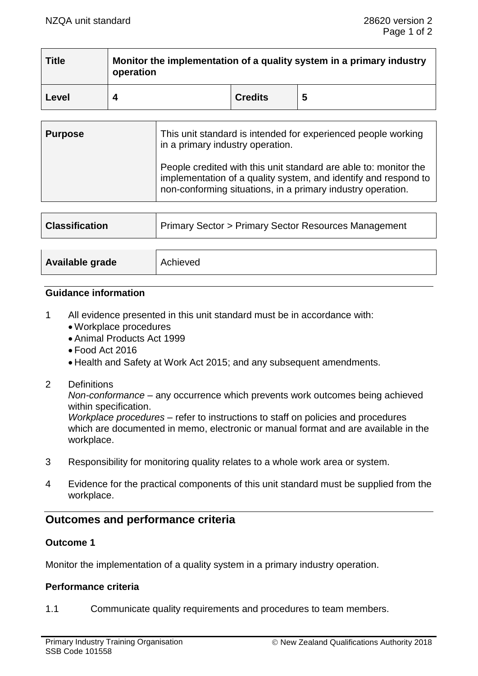| <b>Title</b> | Monitor the implementation of a quality system in a primary industry<br>operation |                |   |  |
|--------------|-----------------------------------------------------------------------------------|----------------|---|--|
| Level        |                                                                                   | <b>Credits</b> | 5 |  |

| <b>Purpose</b> | This unit standard is intended for experienced people working<br>in a primary industry operation.                                                                                                  |  |
|----------------|----------------------------------------------------------------------------------------------------------------------------------------------------------------------------------------------------|--|
|                | People credited with this unit standard are able to: monitor the<br>implementation of a quality system, and identify and respond to<br>non-conforming situations, in a primary industry operation. |  |

| <b>Classification</b> | <b>Primary Sector &gt; Primary Sector Resources Management</b> |  |  |
|-----------------------|----------------------------------------------------------------|--|--|
|                       |                                                                |  |  |
| Available grade       | Achieved                                                       |  |  |

#### **Guidance information**

- 1 All evidence presented in this unit standard must be in accordance with:
	- Workplace procedures
	- Animal Products Act 1999
	- Food Act 2016
	- Health and Safety at Work Act 2015; and any subsequent amendments.
- 2 Definitions

*Non-conformance* – any occurrence which prevents work outcomes being achieved within specification.

*Workplace procedures* – refer to instructions to staff on policies and procedures which are documented in memo, electronic or manual format and are available in the workplace.

- 3 Responsibility for monitoring quality relates to a whole work area or system.
- 4 Evidence for the practical components of this unit standard must be supplied from the workplace.

## **Outcomes and performance criteria**

### **Outcome 1**

Monitor the implementation of a quality system in a primary industry operation.

#### **Performance criteria**

1.1 Communicate quality requirements and procedures to team members.